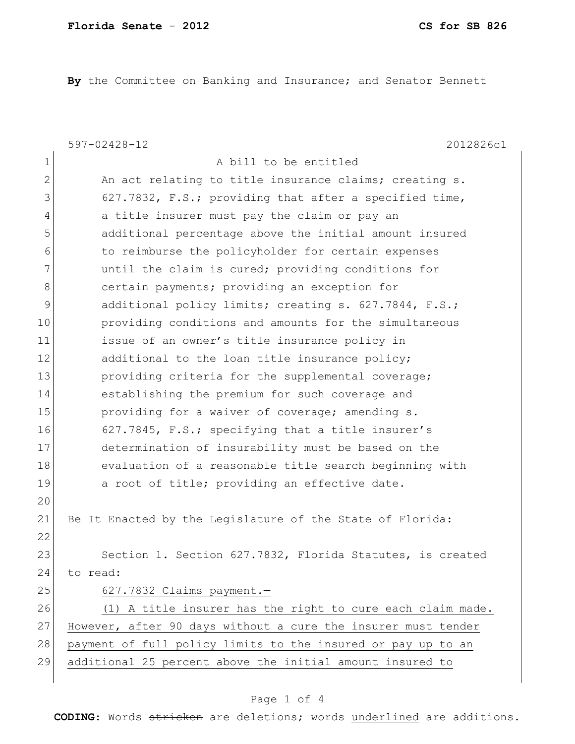**By** the Committee on Banking and Insurance; and Senator Bennett

|               | $597 - 02428 - 12$<br>2012826c1                               |
|---------------|---------------------------------------------------------------|
| $\mathbf 1$   | A bill to be entitled                                         |
| $\mathbf{2}$  | An act relating to title insurance claims; creating s.        |
| 3             | 627.7832, F.S.; providing that after a specified time,        |
| 4             | a title insurer must pay the claim or pay an                  |
| 5             | additional percentage above the initial amount insured        |
| 6             | to reimburse the policyholder for certain expenses            |
| 7             | until the claim is cured; providing conditions for            |
| 8             | certain payments; providing an exception for                  |
| $\mathcal{G}$ | additional policy limits; creating s. 627.7844, F.S.;         |
| 10            | providing conditions and amounts for the simultaneous         |
| 11            | issue of an owner's title insurance policy in                 |
| 12            | additional to the loan title insurance policy;                |
| 13            | providing criteria for the supplemental coverage;             |
| 14            | establishing the premium for such coverage and                |
| 15            | providing for a waiver of coverage; amending s.               |
| 16            | 627.7845, F.S.; specifying that a title insurer's             |
| 17            | determination of insurability must be based on the            |
| 18            | evaluation of a reasonable title search beginning with        |
| 19            | a root of title; providing an effective date.                 |
| 20            |                                                               |
| 21            | Be It Enacted by the Legislature of the State of Florida:     |
| 22            |                                                               |
| 23            | Section 1. Section 627.7832, Florida Statutes, is created     |
| 24            | to read:                                                      |
| 25            | 627.7832 Claims payment.-                                     |
| 26            | (1) A title insurer has the right to cure each claim made.    |
| 27            | However, after 90 days without a cure the insurer must tender |
| 28            | payment of full policy limits to the insured or pay up to an  |
| 29            | additional 25 percent above the initial amount insured to     |
|               |                                                               |

## Page 1 of 4

**CODING**: Words stricken are deletions; words underlined are additions.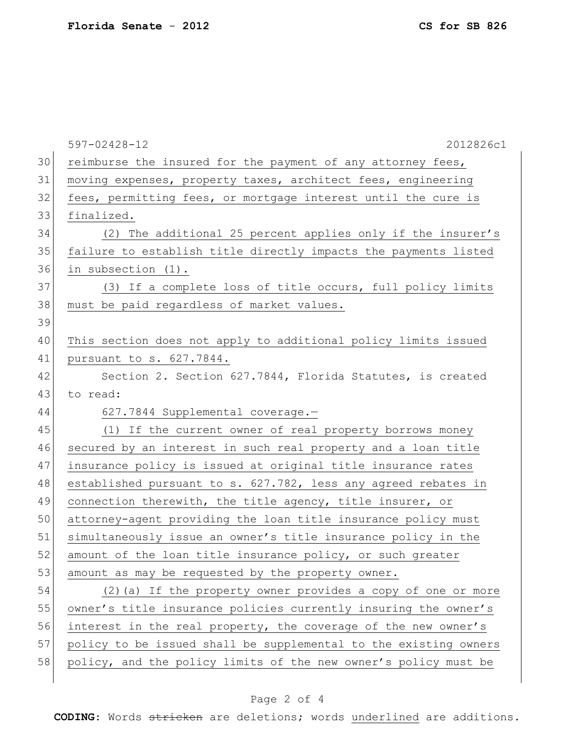|    | $597 - 02428 - 12$<br>2012826c1                                  |
|----|------------------------------------------------------------------|
| 30 | reimburse the insured for the payment of any attorney fees,      |
| 31 | moving expenses, property taxes, architect fees, engineering     |
| 32 | fees, permitting fees, or mortgage interest until the cure is    |
| 33 | finalized.                                                       |
| 34 | (2) The additional 25 percent applies only if the insurer's      |
| 35 | failure to establish title directly impacts the payments listed  |
| 36 | in subsection (1).                                               |
| 37 | (3) If a complete loss of title occurs, full policy limits       |
| 38 | must be paid regardless of market values.                        |
| 39 |                                                                  |
| 40 | This section does not apply to additional policy limits issued   |
| 41 | pursuant to s. 627.7844.                                         |
| 42 | Section 2. Section 627.7844, Florida Statutes, is created        |
| 43 | to read:                                                         |
| 44 | 627.7844 Supplemental coverage.-                                 |
| 45 | (1) If the current owner of real property borrows money          |
| 46 | secured by an interest in such real property and a loan title    |
| 47 | insurance policy is issued at original title insurance rates     |
| 48 | established pursuant to s. 627.782, less any agreed rebates in   |
| 49 | connection therewith, the title agency, title insurer, or        |
| 50 | attorney-agent providing the loan title insurance policy must    |
| 51 | simultaneously issue an owner's title insurance policy in the    |
| 52 | amount of the loan title insurance policy, or such greater       |
| 53 | amount as may be requested by the property owner.                |
| 54 | (2) (a) If the property owner provides a copy of one or more     |
| 55 | owner's title insurance policies currently insuring the owner's  |
| 56 | interest in the real property, the coverage of the new owner's   |
| 57 | policy to be issued shall be supplemental to the existing owners |
| 58 | policy, and the policy limits of the new owner's policy must be  |
|    |                                                                  |

## Page 2 of 4

**CODING**: Words stricken are deletions; words underlined are additions.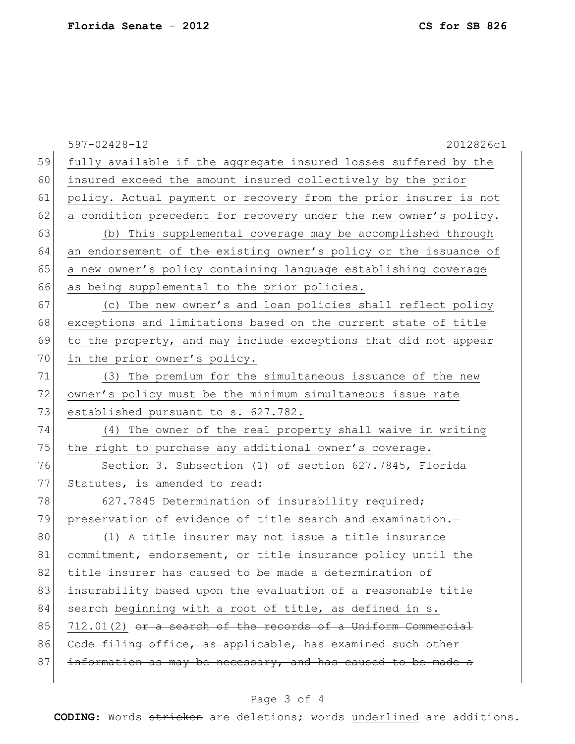|    | 2012826c1<br>$597 - 02428 - 12$                                  |
|----|------------------------------------------------------------------|
| 59 | fully available if the aggregate insured losses suffered by the  |
| 60 | insured exceed the amount insured collectively by the prior      |
| 61 | policy. Actual payment or recovery from the prior insurer is not |
| 62 | a condition precedent for recovery under the new owner's policy. |
| 63 | (b) This supplemental coverage may be accomplished through       |
| 64 | an endorsement of the existing owner's policy or the issuance of |
| 65 | a new owner's policy containing language establishing coverage   |
| 66 | as being supplemental to the prior policies.                     |
| 67 | (c) The new owner's and loan policies shall reflect policy       |
| 68 | exceptions and limitations based on the current state of title   |
| 69 | to the property, and may include exceptions that did not appear  |
| 70 | in the prior owner's policy.                                     |
| 71 | (3) The premium for the simultaneous issuance of the new         |
| 72 | owner's policy must be the minimum simultaneous issue rate       |
| 73 | established pursuant to s. 627.782.                              |
| 74 | (4) The owner of the real property shall waive in writing        |
| 75 | the right to purchase any additional owner's coverage.           |
| 76 | Section 3. Subsection (1) of section 627.7845, Florida           |
| 77 | Statutes, is amended to read:                                    |
| 78 | 627.7845 Determination of insurability required;                 |
| 79 | preservation of evidence of title search and examination.-       |
| 80 | (1) A title insurer may not issue a title insurance              |
| 81 | commitment, endorsement, or title insurance policy until the     |
| 82 | title insurer has caused to be made a determination of           |
| 83 | insurability based upon the evaluation of a reasonable title     |
| 84 | search beginning with a root of title, as defined in s.          |
| 85 | 712.01(2) or a search of the records of a Uniform Commercial     |
| 86 | Code filing office, as applicable, has examined such other       |
| 87 | information as may be necessary, and has caused to be made a     |
|    |                                                                  |

## Page 3 of 4

**CODING**: Words stricken are deletions; words underlined are additions.